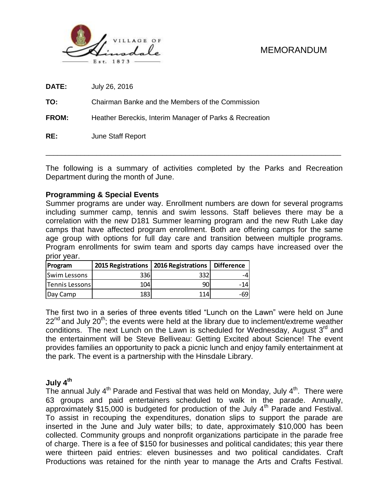

# MEMORANDUM

| RE:          | June Staff Report                                       |
|--------------|---------------------------------------------------------|
| <b>FROM:</b> | Heather Bereckis, Interim Manager of Parks & Recreation |
| TO:          | Chairman Banke and the Members of the Commission        |
| <b>DATE:</b> | July 26, 2016                                           |

The following is a summary of activities completed by the Parks and Recreation Department during the month of June.

## **Programming & Special Events**

Summer programs are under way. Enrollment numbers are down for several programs including summer camp, tennis and swim lessons. Staff believes there may be a correlation with the new D181 Summer learning program and the new Ruth Lake day camps that have affected program enrollment. Both are offering camps for the same age group with options for full day care and transition between multiple programs. Program enrollments for swim team and sports day camps have increased over the prior year.

| <b>Program</b> | 2015 Registrations   2016 Registrations |     | Difference |
|----------------|-----------------------------------------|-----|------------|
| Swim Lessons   | 3361                                    | 332 |            |
| Tennis Lessons | 104                                     | 90  | $-14$      |
| Day Camp       | 183 <sub>1</sub>                        | 114 | -691       |

The first two in a series of three events titled "Lunch on the Lawn" were held on June  $22<sup>nd</sup>$  and July  $20<sup>th</sup>$ ; the events were held at the library due to inclement/extreme weather conditions. The next Lunch on the Lawn is scheduled for Wednesday, August 3<sup>rd</sup> and the entertainment will be Steve Belliveau: Getting Excited about Science! The event provides families an opportunity to pack a picnic lunch and enjoy family entertainment at the park. The event is a partnership with the Hinsdale Library.

#### **July 4th**

The annual July  $4^{\text{th}}$  Parade and Festival that was held on Monday, July  $4^{\text{th}}$ . There were 63 groups and paid entertainers scheduled to walk in the parade. Annually, approximately \$15,000 is budgeted for production of the July  $4<sup>th</sup>$  Parade and Festival. To assist in recouping the expenditures, donation slips to support the parade are inserted in the June and July water bills; to date, approximately \$10,000 has been collected. Community groups and nonprofit organizations participate in the parade free of charge. There is a fee of \$150 for businesses and political candidates; this year there were thirteen paid entries: eleven businesses and two political candidates. Craft **Program 2015 Registrations 2016 Registrations** Difference<br>
Tennis Lessons 336 04<br>
Day Camp 138 131 14<br>
Day Camp 138 114 - 69<br>
The first two in a series of three events titled "Lunch on the Lawn" were held on June<br>
22<sup>nd</sup>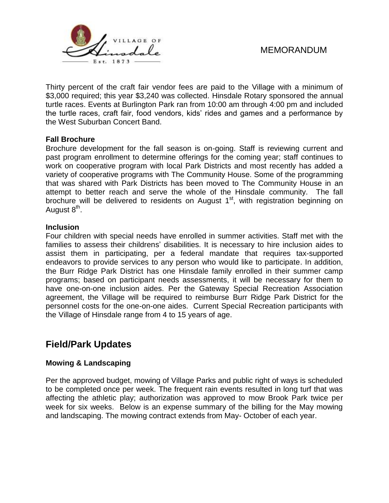

# MEMORANDUM

Thirty percent of the craft fair vendor fees are paid to the Village with a minimum of \$3,000 required; this year \$3,240 was collected. Hinsdale Rotary sponsored the annual turtle races. Events at Burlington Park ran from 10:00 am through 4:00 pm and included the turtle races, craft fair, food vendors, kids' rides and games and a performance by the West Suburban Concert Band.

### **Fall Brochure**

Brochure development for the fall season is on-going. Staff is reviewing current and past program enrollment to determine offerings for the coming year; staff continues to work on cooperative program with local Park Districts and most recently has added a variety of cooperative programs with The Community House. Some of the programming that was shared with Park Districts has been moved to The Community House in an attempt to better reach and serve the whole of the Hinsdale community. The fall brochure will be delivered to residents on August 1<sup>st</sup>, with registration beginning on August 8<sup>th</sup>.

### **Inclusion**

Four children with special needs have enrolled in summer activities. Staff met with the families to assess their childrens' disabilities. It is necessary to hire inclusion aides to assist them in participating, per a federal mandate that requires tax-supported endeavors to provide services to any person who would like to participate. In addition, the Burr Ridge Park District has one Hinsdale family enrolled in their summer camp programs; based on participant needs assessments, it will be necessary for them to have one-on-one inclusion aides. Per the Gateway Special Recreation Association agreement, the Village will be required to reimburse Burr Ridge Park District for the personnel costs for the one-on-one aides. Current Special Recreation participants with the Village of Hinsdale range from 4 to 15 years of age.

# **Field/Park Updates**

## **Mowing & Landscaping**

Per the approved budget, mowing of Village Parks and public right of ways is scheduled to be completed once per week. The frequent rain events resulted in long turf that was affecting the athletic play; authorization was approved to mow Brook Park twice per week for six weeks. Below is an expense summary of the billing for the May mowing and landscaping. The mowing contract extends from May- October of each year.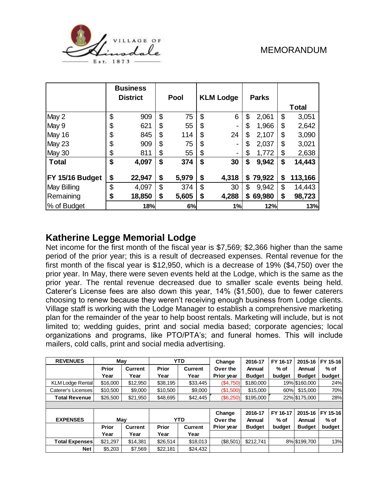

|                 | <b>Business</b> |             |                  |    |              |               |
|-----------------|-----------------|-------------|------------------|----|--------------|---------------|
|                 | <b>District</b> | Pool        | <b>KLM Lodge</b> |    | <b>Parks</b> |               |
|                 |                 |             |                  |    |              | <b>Total</b>  |
| May 2           | \$<br>909       | \$<br>75    | \$<br>6          | \$ | 2,061        | \$<br>3,051   |
| May 9           | \$<br>621       | \$<br>55    | \$<br>۰          | \$ | 1,966        | \$<br>2,642   |
| May 16          | \$<br>845       | \$<br>114   | \$<br>24         | \$ | 2,107        | \$<br>3,090   |
| May 23          | \$<br>909       | \$<br>75    | \$<br>۰          | \$ | 2,037        | \$<br>3,021   |
| May 30          | \$<br>811       | \$<br>55    | \$<br>۰          | \$ | 1,772        | \$<br>2,638   |
| <b>Total</b>    | \$<br>4,097     | \$<br>374   | \$<br>30         | \$ | 9,942        | \$<br>14,443  |
| FY 15/16 Budget | \$<br>22,947    | \$<br>5,979 | \$<br>4,318      | S. | 79,922       | \$<br>113,166 |
|                 |                 |             |                  |    |              |               |
| May Billing     | \$<br>4,097     | \$<br>374   | \$<br>30         | \$ | 9,942        | \$<br>14,443  |
| Remaining       | \$<br>18,850    | \$<br>5,605 | \$<br>4,288      | S  | 69,980       | \$<br>98,723  |
| % of Budget     | 18%             | 6%          | 1%               |    | 12%          | 13%           |

# **Katherine Legge Memorial Lodge**

Net income for the first month of the fiscal year is \$7,569; \$2,366 higher than the same period of the prior year; this is a result of decreased expenses. Rental revenue for the first month of the fiscal year is \$12,950, which is a decrease of 19% (\$4,750) over the prior year. In May, there were seven events held at the Lodge, which is the same as the prior year. The rental revenue decreased due to smaller scale events being held. Caterer's License fees are also down this year, 14% (\$1,500), due to fewer caterers choosing to renew because they weren't receiving enough business from Lodge clients. Village staff is working with the Lodge Manager to establish a comprehensive marketing plan for the remainder of the year to help boost rentals. Marketing will include, but is not limited to; wedding guides, print and social media based; corporate agencies; local organizations and programs, like PTO/PTA's; and funeral homes. This will include mailers, cold calls, print and social media advertising.

| <b>REVENUES</b>         |              | May            | <b>YTD</b>   |                | Change     | 2016-17       | FY 16-17 | 2015-16       | FY 15-16 |
|-------------------------|--------------|----------------|--------------|----------------|------------|---------------|----------|---------------|----------|
|                         | <b>Prior</b> | <b>Current</b> | <b>Prior</b> | <b>Current</b> | Over the   | Annual        | % of     | Annual        | $%$ of   |
|                         | Year         | Year           | Year         | Year           | Prior year | <b>Budget</b> | budget   | <b>Budget</b> | budget   |
| <b>KLM Lodge Rental</b> | \$16,000     | \$12,950       | \$38.195     | \$33.445       | (\$4,750)  | \$180,000     |          | 19% \$160,000 | 24%      |
| Caterer's Licenses      | \$10,500     | \$9,000        | \$10,500     | \$9,000        | (\$1,500)  | \$15,000      | 60%      | \$15,000      | 70%      |
| <b>Total Revenue</b>    | \$26,500     | \$21,950       | \$48.695     | \$42,445       | (\$6,250)  | \$195,000     |          | 22% \$175,000 | 28%      |
|                         |              |                |              |                |            |               |          |               |          |
|                         |              |                |              |                | Change     | 2016-17       | FY 16-17 | 2015-16       | FY 15-16 |
| <b>EXPENSES</b>         |              | May            |              | <b>YTD</b>     | Over the   | Annual        | $%$ of   | Annual        | $%$ of   |
|                         | <b>Prior</b> | <b>Current</b> | <b>Prior</b> | <b>Current</b> | Prior year | <b>Budget</b> | budget   | <b>Budget</b> | budget   |
|                         | Year         | Year           | Year         | Year           |            |               |          |               |          |
| <b>Total Expenses</b>   | \$21,297     | \$14,381       | \$26,514     | \$18,013       | (\$8,501)  | \$212.741     |          | 8% \$199,700  | 13%      |
| <b>Net</b>              | \$5,203      | \$7,569        | \$22.181     | \$24,432       |            |               |          |               |          |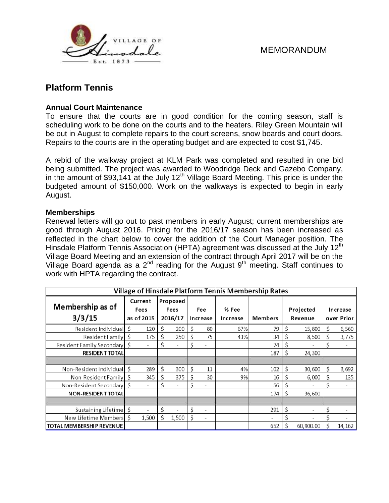

# **Platform Tennis**

## **Annual Court Maintenance**

To ensure that the courts are in good condition for the coming season, staff is scheduling work to be done on the courts and to the heaters. Riley Green Mountain will be out in August to complete repairs to the court screens, snow boards and court doors. Repairs to the courts are in the operating budget and are expected to cost \$1,745.

A rebid of the walkway project at KLM Park was completed and resulted in one bid being submitted. The project was awarded to Woodridge Deck and Gazebo Company, in the amount of \$93,141 at the July  $12<sup>th</sup>$  Village Board Meeting. This price is under the budgeted amount of \$150,000. Work on the walkways is expected to begin in early August.

### **Memberships**

Renewal letters will go out to past members in early August; current memberships are good through August 2016. Pricing for the 2016/17 season has been increased as reflected in the chart below to cover the addition of the Court Manager position. The Hinsdale Platform Tennis Association (HPTA) agreement was discussed at the July 12<sup>th</sup> Village Board Meeting and an extension of the contract through April 2017 will be on the Village Board agenda as a  $2^{nd}$  reading for the August  $9<sup>th</sup>$  meeting. Staff continues to work with HPTA regarding the contract.

| Village of Hinsdale Platform Tennis Membership Rates |    |                               |    |                             |    |                          |                   |                          |    |                      |    |                          |
|------------------------------------------------------|----|-------------------------------|----|-----------------------------|----|--------------------------|-------------------|--------------------------|----|----------------------|----|--------------------------|
| Membership as of<br>3/3/15                           |    | Current<br>Fees<br>as of 2015 |    | Proposed<br>Fees<br>2016/17 |    | Fee<br>Increase          | % Fee<br>Increase | <b>Members</b>           |    | Projected<br>Revenue |    | Increase<br>over Prior   |
| Resident Individual                                  | Ś  | 120                           | Ŝ  | 200                         | Ś  | 80                       | 67%               | 79                       | Ś  | 15,800               | Ś. | 6,560                    |
| Resident Family                                      | \$ | 175                           | \$ | 250                         | \$ | 75                       | 43%               | 34                       | \$ | 8,500                | \$ | 3,775                    |
| Resident Family Secondary                            | \$ | $\bar{a}$                     | \$ |                             | Ś  | $\equiv$                 |                   | 74                       | \$ |                      | \$ | $\equiv$                 |
| <b>RESIDENT TOTAL</b>                                |    |                               |    |                             |    |                          |                   | 187                      | \$ | 24,300               |    |                          |
|                                                      |    |                               |    |                             |    |                          |                   |                          |    |                      |    |                          |
| Non-Resident Individual                              | Ś  | 289                           | Ś  | 300                         | Ś  | 11                       | 4%                | 102                      | Ś  | 30,600               | Ś  | 3,692                    |
| Non-Resident Family                                  | Ŝ  | 345                           | Ś  | 375                         | Ś  | 30                       | 9%                | 16                       | S  | 6,000                | \$ | 135                      |
| Non-Resident Secondary                               | \$ | $\sim$                        | \$ | $\equiv$                    | \$ | $\equiv$                 |                   | 56                       |    |                      | \$ | $\equiv$                 |
| <b>NON-RESIDENT TOTAL</b>                            |    |                               |    |                             |    |                          |                   | 174                      | \$ | 36,600               |    |                          |
|                                                      |    |                               |    |                             |    |                          |                   |                          |    |                      |    |                          |
| Sustaining Lifetime                                  | \$ | $\sim$                        | \$ |                             | Ś  | $\equiv$                 |                   | 291                      | \$ | $\bar{a}$            | \$ | $\bar{a}$                |
| New Lifetime Members                                 | Ś  | 1,500                         | Ś  | 1,500                       | Ś  | $\overline{\phantom{a}}$ |                   | $\overline{\phantom{a}}$ | Ś  | $\,$                 | \$ | $\overline{\phantom{a}}$ |
| <b>TOTAL MEMBERSHIP REVENUE</b>                      |    |                               |    |                             |    |                          |                   | 652                      | Ś  | 60,900.00            | Ś  | 14,162                   |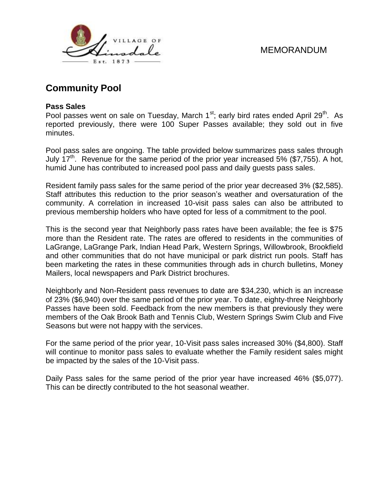



# **Community Pool**

### **Pass Sales**

Pool passes went on sale on Tuesday, March  $1<sup>st</sup>$ ; early bird rates ended April 29<sup>th</sup>. As reported previously, there were 100 Super Passes available; they sold out in five minutes.

Pool pass sales are ongoing. The table provided below summarizes pass sales through July 17<sup>th</sup>. Revenue for the same period of the prior year increased 5% (\$7,755). A hot, humid June has contributed to increased pool pass and daily guests pass sales.

Resident family pass sales for the same period of the prior year decreased 3% (\$2,585). Staff attributes this reduction to the prior season's weather and oversaturation of the community. A correlation in increased 10-visit pass sales can also be attributed to previous membership holders who have opted for less of a commitment to the pool.

This is the second year that Neighborly pass rates have been available; the fee is \$75 more than the Resident rate. The rates are offered to residents in the communities of LaGrange, LaGrange Park, Indian Head Park, Western Springs, Willowbrook, Brookfield and other communities that do not have municipal or park district run pools. Staff has been marketing the rates in these communities through ads in church bulletins, Money Mailers, local newspapers and Park District brochures.

Neighborly and Non-Resident pass revenues to date are \$34,230, which is an increase of 23% (\$6,940) over the same period of the prior year. To date, eighty-three Neighborly Passes have been sold. Feedback from the new members is that previously they were members of the Oak Brook Bath and Tennis Club, Western Springs Swim Club and Five Seasons but were not happy with the services.

For the same period of the prior year, 10-Visit pass sales increased 30% (\$4,800). Staff will continue to monitor pass sales to evaluate whether the Family resident sales might be impacted by the sales of the 10-Visit pass.

Daily Pass sales for the same period of the prior year have increased 46% (\$5,077). This can be directly contributed to the hot seasonal weather.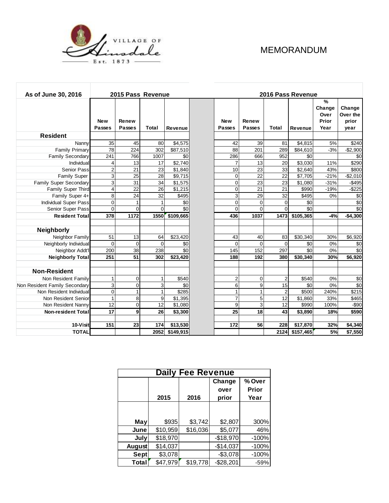

г

# MEMORANDUM

| As of June 30, 2016           |                         | 2015 Pass Revenue      |                |           |                             | 2016 Pass Revenue      |                 |           |                                                  |                                     |  |  |
|-------------------------------|-------------------------|------------------------|----------------|-----------|-----------------------------|------------------------|-----------------|-----------|--------------------------------------------------|-------------------------------------|--|--|
|                               | <b>New</b><br>Passes    | Renew<br><b>Passes</b> | <b>Total</b>   | Revenue   | <b>New</b><br><b>Passes</b> | Renew<br><b>Passes</b> | Total           | Revenue   | $\frac{9}{6}$<br>Change<br>Over<br>Prior<br>Year | Change<br>Over the<br>prior<br>year |  |  |
| <b>Resident</b>               |                         |                        |                |           |                             |                        |                 |           |                                                  |                                     |  |  |
| Nanny                         | 35                      | 45                     | 80             | \$4,575   | 42                          | 39                     | 81              | \$4,815   | 5%                                               | \$240                               |  |  |
| <b>Family Primary</b>         | 78                      | 224                    | 302            | \$87,510  | 88                          | 201                    | 289             | \$84,610  | $-3%$                                            | $-$2,900$                           |  |  |
| <b>Family Secondary</b>       | 241                     | 766                    | 1007           | \$0       | 286                         | 666                    | 952             | \$0       |                                                  | \$0                                 |  |  |
| Individual                    | 4                       | 13                     | 17             | \$2,740   | $\overline{7}$              | 13                     | 20              | \$3,030   | 11%                                              | \$290                               |  |  |
| <b>Senior Pass</b>            | $\overline{c}$          | 21                     | 23             | \$1,840   | 10                          | 23                     | 33              | \$2,640   | 43%                                              | \$800                               |  |  |
| <b>Family Super</b>           | $\sqrt{3}$              | 25                     | 28             | \$9,715   | $\mathbf 0$                 | 22                     | 22              | \$7,705   | $-21%$                                           | $-$2,010$                           |  |  |
| Family Super Secondary        | 3                       | 31                     | 34             | \$1,575   | 0                           | 23                     | 23              | \$1,080   | $-31%$                                           | $-$495$                             |  |  |
| Family Super Third            | $\overline{\mathbf{4}}$ | 22                     | 26             | \$1,215   | $\Omega$                    | 21                     | 21              | \$990     | $-19%$                                           | $-$225$                             |  |  |
| Family Super 4+               | 8                       | 24                     | 32             | \$495     | 3                           | 29                     | 32              | \$495     | 0%                                               | \$0                                 |  |  |
| <b>Individual Super Pass</b>  | $\mathbf 0$             | $\mathbf{1}$           | 1              | \$0       | $\Omega$                    | $\Omega$               | $\Omega$        | \$0       |                                                  | \$0                                 |  |  |
| Senior Super Pass             | $\overline{0}$          | $\mathbf 0$            | $\Omega$       | \$0       | $\Omega$                    | $\Omega$               | $\Omega$        | \$0       |                                                  | \$0                                 |  |  |
| <b>Resident Total</b>         | 378                     | 1172                   | <b>1550</b>    | \$109,665 | 436                         | 1037                   | 1473            | \$105,365 | $-4%$                                            | $-$4,300$                           |  |  |
|                               |                         |                        |                |           |                             |                        |                 |           |                                                  |                                     |  |  |
| Neighborly                    |                         |                        |                |           |                             |                        |                 |           |                                                  |                                     |  |  |
| Neighbor Family               | 51                      | 13                     | 64             | \$23,420  | 43                          | 40                     | 83              | \$30,340  | 30%                                              | \$6,920                             |  |  |
| Neighborly Individual         | $\Omega$                | $\mathbf 0$            | $\overline{0}$ | \$0       | $\overline{0}$              | $\Omega$               | $\mathbf 0$     | \$0       | 0%                                               | \$0                                 |  |  |
| Neighbor Addt'l               | 200                     | 38                     | 238            | \$0       | 145                         | 152                    | 297             | \$0       | 0%                                               | \$0                                 |  |  |
| <b>Neighborly Total</b>       | 251                     | 51                     | 302            | \$23,420  | 188                         | 192                    | 380             | \$30,340  | 30%                                              | \$6,920                             |  |  |
| <b>Non-Resident</b>           |                         |                        |                |           |                             |                        |                 |           |                                                  |                                     |  |  |
| Non Resident Family           | 1                       | $\mathbf 0$            | 1              | \$540     | $\overline{\mathbf{c}}$     | $\mathbf 0$            | $\overline{c}$  | \$540     | 0%                                               | \$0                                 |  |  |
| Non Resident Family Secondary | 3                       | $\mathbf 0$            | $\overline{3}$ | \$0       | 6                           | 9                      | 15              | \$0       | 0%                                               | $\sqrt{6}$                          |  |  |
| Non Resident Individual       | $\pmb{0}$               | $\mathbf{1}$           | $\mathbf{1}$   | \$285     | $\mathbf{1}$                | 1                      | $\overline{c}$  | \$500     | 240%                                             | \$215                               |  |  |
| Non Resident Senior           | $\mathbf{1}$            | 8                      | 9              | \$1,395   | $\overline{7}$              | 5                      | 12              | \$1,860   | 33%                                              | \$465                               |  |  |
| Non Resident Nanny            | 12                      | 0                      | 12             | \$1,080   | 9                           | 3                      | 12              | \$990     | 100%                                             | $- $90$                             |  |  |
| <b>Non-resident Total</b>     | $\overline{17}$         | $\overline{9}$         | 26             | \$3,300   | $\overline{25}$             | 18                     | $\overline{43}$ | \$3,890   | 18%                                              | \$590                               |  |  |
|                               |                         |                        |                |           |                             |                        |                 |           |                                                  |                                     |  |  |
| 10-Visit                      | 151                     | 23                     | 174            | \$13,530  | 172                         | 56                     | 228             | \$17,870  | 32%                                              | \$4,340                             |  |  |
| <b>TOTAL</b>                  |                         |                        | 2052           | \$149,915 |                             |                        | 2124            | \$157,465 | 5%                                               | \$7,550                             |  |  |

| <b>Daily Fee Revenue</b> |          |          |            |         |  |  |  |  |  |  |
|--------------------------|----------|----------|------------|---------|--|--|--|--|--|--|
|                          |          | % Over   |            |         |  |  |  |  |  |  |
|                          |          |          | over       | Prior   |  |  |  |  |  |  |
|                          | 2015     | 2016     | prior      | Year    |  |  |  |  |  |  |
|                          |          |          |            |         |  |  |  |  |  |  |
|                          |          |          |            |         |  |  |  |  |  |  |
| May                      | \$935    | \$3,742  | \$2,807    | 300%    |  |  |  |  |  |  |
| June                     | \$10,959 | \$16,036 | \$5,077    | 46%     |  |  |  |  |  |  |
| July                     | \$18,970 |          | $-$18,970$ | $-100%$ |  |  |  |  |  |  |
| August                   | \$14,037 |          | $-$14,037$ | $-100%$ |  |  |  |  |  |  |
| Sept                     | \$3,078  |          | $-$3,078$  | $-100%$ |  |  |  |  |  |  |
| Total                    | \$47,979 | \$19,778 | $-$28,201$ | $-59%$  |  |  |  |  |  |  |